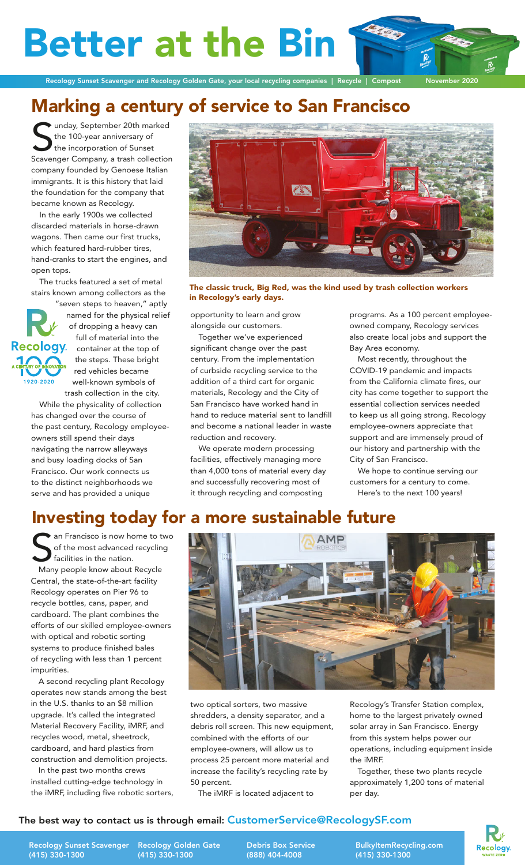**Better at the Bi** 

Recology Sunset Scavenger and Recology Golden Gate, your local recycling companies | Recycle | Compost November 2020

# Marking a century of service to San Francisco

**Summan** (September 20th marked the 100-year anniversary of the incorporation of Sunset Scavenger Company, a trash collection unday, September 20th marked the 100-year anniversary of the incorporation of Sunset company founded by Genoese Italian immigrants. It is this history that laid the foundation for the company that became known as Recology.

In the early 1900s we collected discarded materials in horse-drawn wagons. Then came our first trucks, which featured hard-rubber tires, hand-cranks to start the engines, and open tops.

The trucks featured a set of metal stairs known among collectors as the

"seven steps to heaven," aptly named for the physical relief of dropping a heavy can full of material into the **Recology** container at the top of the steps. These bright red vehicles became well-known symbols of trash collection in the city.

While the physicality of collection has changed over the course of the past century, Recology employeeowners still spend their days navigating the narrow alleyways and busy loading docks of San Francisco. Our work connects us to the distinct neighborhoods we serve and has provided a unique



The classic truck, Big Red, was the kind used by trash collection workers in Recology's early days.

opportunity to learn and grow alongside our customers.

Together we've experienced significant change over the past century. From the implementation of curbside recycling service to the addition of a third cart for organic materials, Recology and the City of San Francisco have worked hand in hand to reduce material sent to landfill and become a national leader in waste reduction and recovery.

We operate modern processing facilities, effectively managing more than 4,000 tons of material every day and successfully recovering most of it through recycling and composting

programs. As a 100 percent employeeowned company, Recology services also create local jobs and support the Bay Area economy.

Most recently, throughout the COVID-19 pandemic and impacts from the California climate fires, our city has come together to support the essential collection services needed to keep us all going strong. Recology employee-owners appreciate that support and are immensely proud of our history and partnership with the City of San Francisco.

We hope to continue serving our customers for a century to come. Here's to the next 100 years!

### Investing today for a more sustainable future

Sol an Francisco is now home to the most advanced recyclin facilities in the nation.<br>
Many people know about Recycle an Francisco is now home to two of the most advanced recycling facilities in the nation.

Central, the state-of-the-art facility Recology operates on Pier 96 to recycle bottles, cans, paper, and cardboard. The plant combines the efforts of our skilled employee-owners with optical and robotic sorting systems to produce finished bales of recycling with less than 1 percent impurities.

A second recycling plant Recology operates now stands among the best in the U.S. thanks to an \$8 million upgrade. It's called the integrated Material Recovery Facility, iMRF, and recycles wood, metal, sheetrock, cardboard, and hard plastics from construction and demolition projects.

In the past two months crews installed cutting-edge technology in the iMRF, including five robotic sorters,



two optical sorters, two massive shredders, a density separator, and a debris roll screen. This new equipment, combined with the efforts of our employee-owners, will allow us to process 25 percent more material and increase the facility's recycling rate by 50 percent.

The iMRF is located adjacent to

Recology's Transfer Station complex, home to the largest privately owned solar array in San Francisco. Energy from this system helps power our operations, including equipment inside the iMRF.

Together, these two plants recycle approximately 1,200 tons of material per day.

**Recology** 

### The best way to contact us is through email: CustomerService@RecologySF.com

Recology Sunset Scavenger Recology Golden Gate (415) 330-1300

(415) 330-1300

Debris Box Service (888) 404-4008

BulkyItemRecycling.com (415) 330-1300